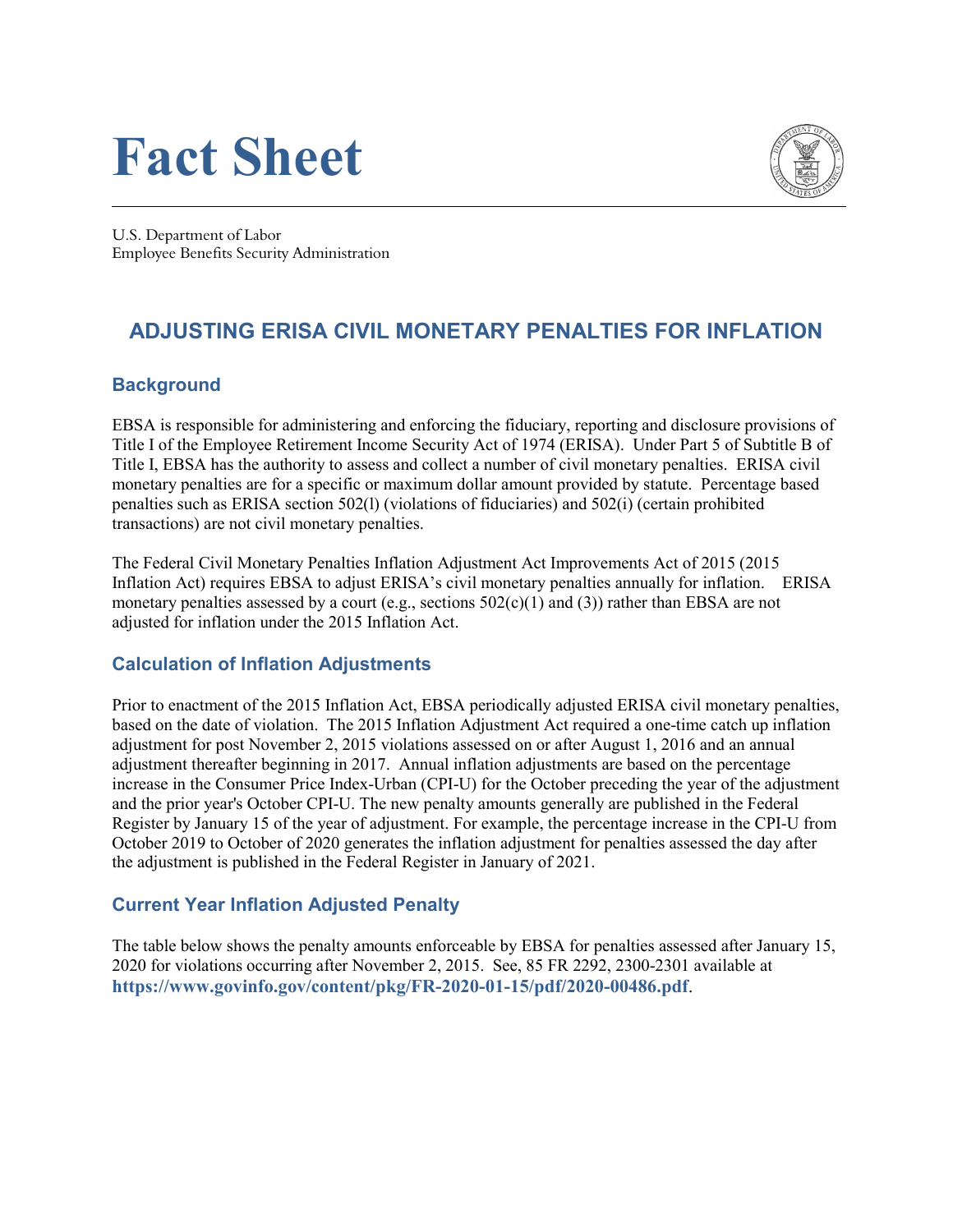# **Fact Sheet**



U.S. Department of Labor Employee Benefits Security Administration

## **ADJUSTING ERISA CIVIL MONETARY PENALTIES FOR INFLATION**

#### **Background**

EBSA is responsible for administering and enforcing the fiduciary, reporting and disclosure provisions of Title I of the Employee Retirement Income Security Act of 1974 (ERISA). Under Part 5 of Subtitle B of Title I, EBSA has the authority to assess and collect a number of civil monetary penalties. ERISA civil monetary penalties are for a specific or maximum dollar amount provided by statute. Percentage based penalties such as ERISA section 502(l) (violations of fiduciaries) and 502(i) (certain prohibited transactions) are not civil monetary penalties.

The Federal Civil Monetary Penalties Inflation Adjustment Act Improvements Act of 2015 (2015 Inflation Act) requires EBSA to adjust ERISA's civil monetary penalties annually for inflation. ERISA monetary penalties assessed by a court (e.g., sections  $502(c)(1)$  and (3)) rather than EBSA are not adjusted for inflation under the 2015 Inflation Act.

#### **Calculation of Inflation Adjustments**

Prior to enactment of the 2015 Inflation Act, EBSA periodically adjusted ERISA civil monetary penalties, based on the date of violation. The 2015 Inflation Adjustment Act required a one-time catch up inflation adjustment for post November 2, 2015 violations assessed on or after August 1, 2016 and an annual adjustment thereafter beginning in 2017. Annual inflation adjustments are based on the percentage increase in the Consumer Price Index-Urban (CPI-U) for the October preceding the year of the adjustment and the prior year's October CPI-U. The new penalty amounts generally are published in the Federal Register by January 15 of the year of adjustment. For example, the percentage increase in the CPI-U from October 2019 to October of 2020 generates the inflation adjustment for penalties assessed the day after the adjustment is published in the Federal Register in January of 2021.

#### **Current Year Inflation Adjusted Penalty**

The table below shows the penalty amounts enforceable by EBSA for penalties assessed after January 15, 2020 for violations occurring after November 2, 2015. See, 85 FR 2292, 2300-2301 available at **<https://www.govinfo.gov/content/pkg/FR-2020-01-15/pdf/2020-00486.pdf>**.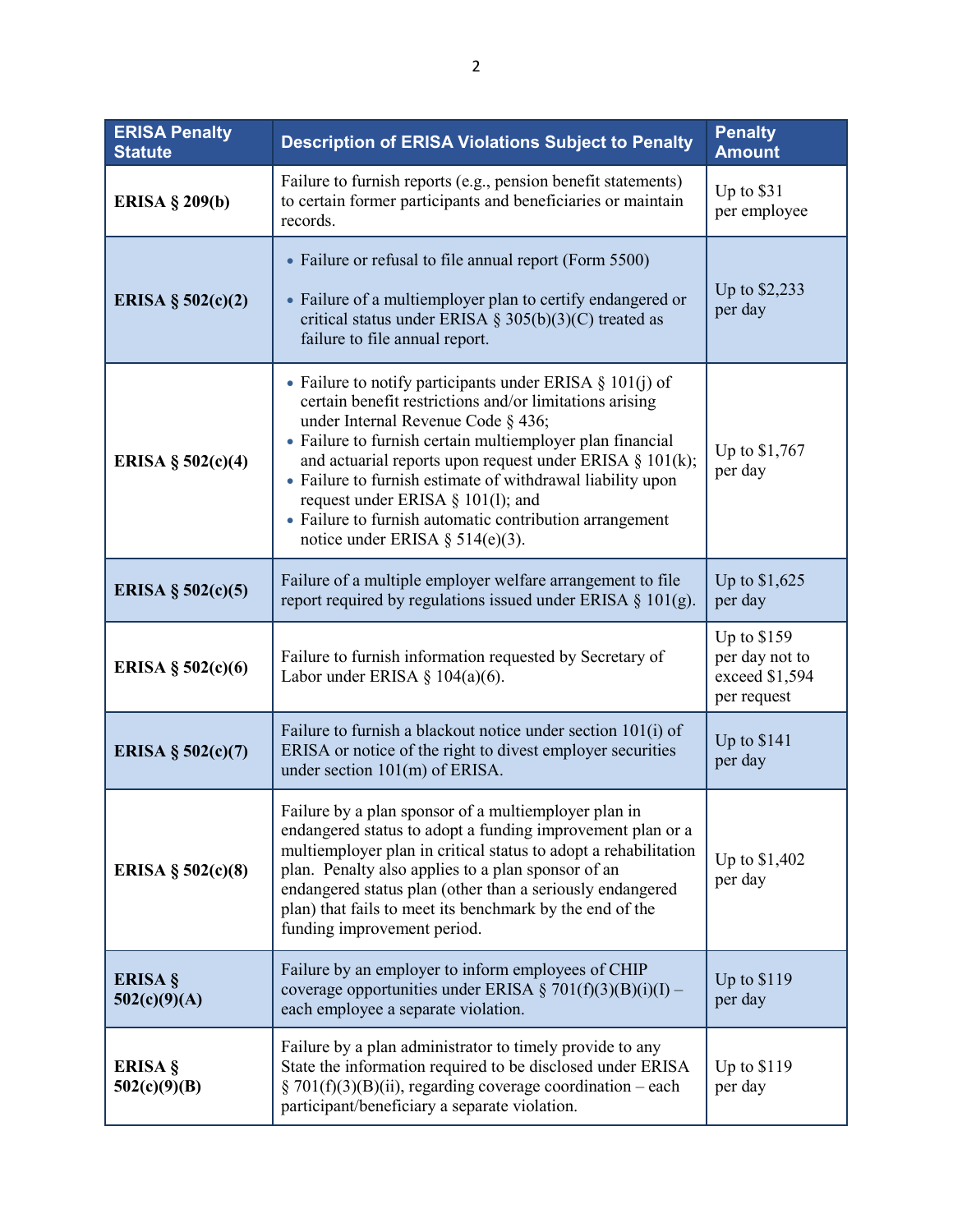| <b>ERISA Penalty</b><br><b>Statute</b> | <b>Description of ERISA Violations Subject to Penalty</b>                                                                                                                                                                                                                                                                                                                                                                                                                                 | <b>Penalty</b><br><b>Amount</b>                                |
|----------------------------------------|-------------------------------------------------------------------------------------------------------------------------------------------------------------------------------------------------------------------------------------------------------------------------------------------------------------------------------------------------------------------------------------------------------------------------------------------------------------------------------------------|----------------------------------------------------------------|
| ERISA $\S$ 209(b)                      | Failure to furnish reports (e.g., pension benefit statements)<br>to certain former participants and beneficiaries or maintain<br>records.                                                                                                                                                                                                                                                                                                                                                 | Up to \$31<br>per employee                                     |
| ERISA § $502(c)(2)$                    | • Failure or refusal to file annual report (Form 5500)<br>• Failure of a multiemployer plan to certify endangered or<br>critical status under ERISA § 305(b)(3)(C) treated as<br>failure to file annual report.                                                                                                                                                                                                                                                                           | Up to \$2,233<br>per day                                       |
| ERISA § $502(c)(4)$                    | • Failure to notify participants under ERISA $\S 101(j)$ of<br>certain benefit restrictions and/or limitations arising<br>under Internal Revenue Code § 436;<br>• Failure to furnish certain multiemployer plan financial<br>and actuarial reports upon request under ERISA § 101(k);<br>• Failure to furnish estimate of withdrawal liability upon<br>request under ERISA § 101(1); and<br>• Failure to furnish automatic contribution arrangement<br>notice under ERISA $\S$ 514(e)(3). | Up to \$1,767<br>per day                                       |
| ERISA § $502(c)(5)$                    | Failure of a multiple employer welfare arrangement to file<br>report required by regulations issued under ERISA $\S$ 101(g).                                                                                                                                                                                                                                                                                                                                                              | Up to \$1,625<br>per day                                       |
| ERISA § $502(c)(6)$                    | Failure to furnish information requested by Secretary of<br>Labor under ERISA § $104(a)(6)$ .                                                                                                                                                                                                                                                                                                                                                                                             | Up to \$159<br>per day not to<br>exceed \$1,594<br>per request |
| ERISA § $502(c)(7)$                    | Failure to furnish a blackout notice under section 101(i) of<br>ERISA or notice of the right to divest employer securities<br>under section 101(m) of ERISA.                                                                                                                                                                                                                                                                                                                              | Up to $$141$<br>per day                                        |
| ERISA § $502(c)(8)$                    | Failure by a plan sponsor of a multiemployer plan in<br>endangered status to adopt a funding improvement plan or a<br>multiemployer plan in critical status to adopt a rehabilitation<br>plan. Penalty also applies to a plan sponsor of an<br>endangered status plan (other than a seriously endangered<br>plan) that fails to meet its benchmark by the end of the<br>funding improvement period.                                                                                       | Up to \$1,402<br>per day                                       |
| ERISA §<br>502(c)(9)(A)                | Failure by an employer to inform employees of CHIP<br>coverage opportunities under ERISA § 701(f)(3)(B)(i)(I) –<br>each employee a separate violation.                                                                                                                                                                                                                                                                                                                                    | Up to $$119$<br>per day                                        |
| ERISA §<br>502(c)(9)(B)                | Failure by a plan administrator to timely provide to any<br>State the information required to be disclosed under ERISA<br>§ 701(f)(3)(B)(ii), regarding coverage coordination – each<br>participant/beneficiary a separate violation.                                                                                                                                                                                                                                                     | Up to $$119$<br>per day                                        |